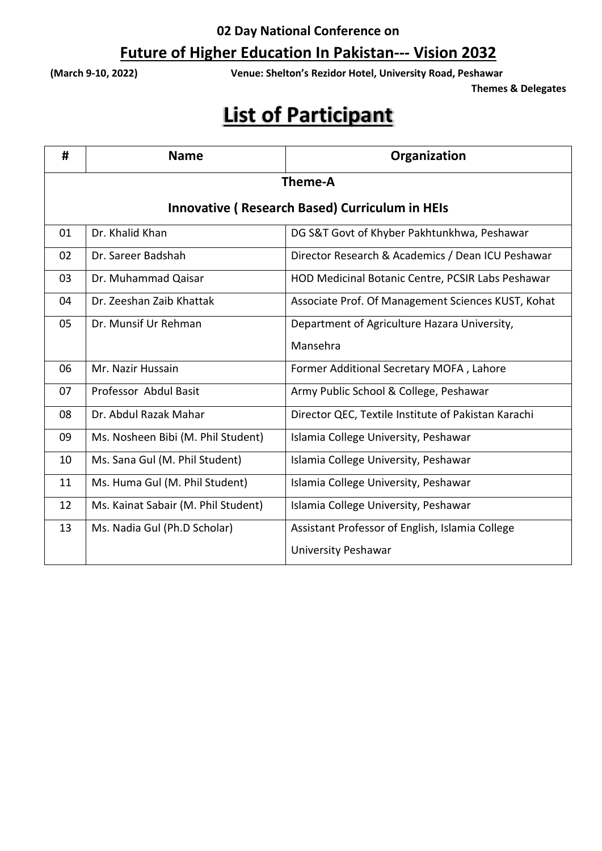## **Future of Higher Education In Pakistan--- Vision 2032**

**(March 9-10, 2022) Venue: Shelton's Rezidor Hotel, University Road, Peshawar**

**Themes & Delegates** 

| #                                                     | <b>Name</b>                         | Organization                                        |  |  |
|-------------------------------------------------------|-------------------------------------|-----------------------------------------------------|--|--|
| <b>Theme-A</b>                                        |                                     |                                                     |  |  |
| <b>Innovative (Research Based) Curriculum in HEIs</b> |                                     |                                                     |  |  |
| 01                                                    | Dr. Khalid Khan                     | DG S&T Govt of Khyber Pakhtunkhwa, Peshawar         |  |  |
| 02                                                    | Dr. Sareer Badshah                  | Director Research & Academics / Dean ICU Peshawar   |  |  |
| 03                                                    | Dr. Muhammad Qaisar                 | HOD Medicinal Botanic Centre, PCSIR Labs Peshawar   |  |  |
| 04                                                    | Dr. Zeeshan Zaib Khattak            | Associate Prof. Of Management Sciences KUST, Kohat  |  |  |
| 05                                                    | Dr. Munsif Ur Rehman                | Department of Agriculture Hazara University,        |  |  |
|                                                       |                                     | Mansehra                                            |  |  |
| 06                                                    | Mr. Nazir Hussain                   | Former Additional Secretary MOFA, Lahore            |  |  |
| 07                                                    | Professor Abdul Basit               | Army Public School & College, Peshawar              |  |  |
| 08                                                    | Dr. Abdul Razak Mahar               | Director QEC, Textile Institute of Pakistan Karachi |  |  |
| 09                                                    | Ms. Nosheen Bibi (M. Phil Student)  | Islamia College University, Peshawar                |  |  |
| 10                                                    | Ms. Sana Gul (M. Phil Student)      | Islamia College University, Peshawar                |  |  |
| 11                                                    | Ms. Huma Gul (M. Phil Student)      | Islamia College University, Peshawar                |  |  |
| 12                                                    | Ms. Kainat Sabair (M. Phil Student) | Islamia College University, Peshawar                |  |  |
| 13                                                    | Ms. Nadia Gul (Ph.D Scholar)        | Assistant Professor of English, Islamia College     |  |  |
|                                                       |                                     | <b>University Peshawar</b>                          |  |  |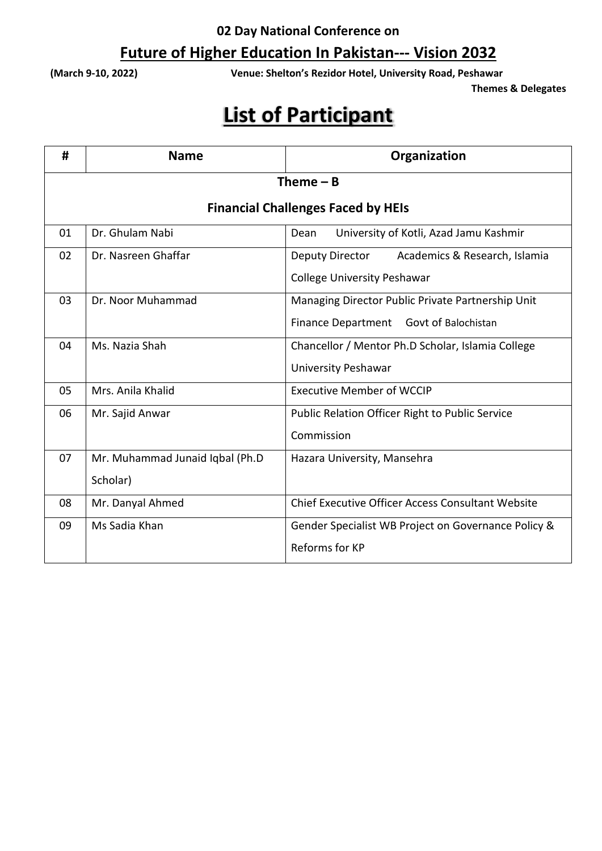## **Future of Higher Education In Pakistan--- Vision 2032**

**(March 9-10, 2022) Venue: Shelton's Rezidor Hotel, University Road, Peshawar**

**Themes & Delegates** 

| #                                         | <b>Name</b>                     | Organization                                           |  |  |
|-------------------------------------------|---------------------------------|--------------------------------------------------------|--|--|
| Theme $- B$                               |                                 |                                                        |  |  |
| <b>Financial Challenges Faced by HEIs</b> |                                 |                                                        |  |  |
| 01                                        | Dr. Ghulam Nabi                 | University of Kotli, Azad Jamu Kashmir<br>Dean         |  |  |
| 02                                        | Dr. Nasreen Ghaffar             | Deputy Director<br>Academics & Research, Islamia       |  |  |
|                                           |                                 | <b>College University Peshawar</b>                     |  |  |
| 03                                        | Dr. Noor Muhammad               | Managing Director Public Private Partnership Unit      |  |  |
|                                           |                                 | Finance Department Govt of Balochistan                 |  |  |
| 04                                        | Ms. Nazia Shah                  | Chancellor / Mentor Ph.D Scholar, Islamia College      |  |  |
|                                           |                                 | <b>University Peshawar</b>                             |  |  |
| 05                                        | Mrs. Anila Khalid               | <b>Executive Member of WCCIP</b>                       |  |  |
| 06                                        | Mr. Sajid Anwar                 | <b>Public Relation Officer Right to Public Service</b> |  |  |
|                                           |                                 | Commission                                             |  |  |
| 07                                        | Mr. Muhammad Junaid Iqbal (Ph.D | Hazara University, Mansehra                            |  |  |
|                                           | Scholar)                        |                                                        |  |  |
| 08                                        | Mr. Danyal Ahmed                | Chief Executive Officer Access Consultant Website      |  |  |
| 09                                        | Ms Sadia Khan                   | Gender Specialist WB Project on Governance Policy &    |  |  |
|                                           |                                 | Reforms for KP                                         |  |  |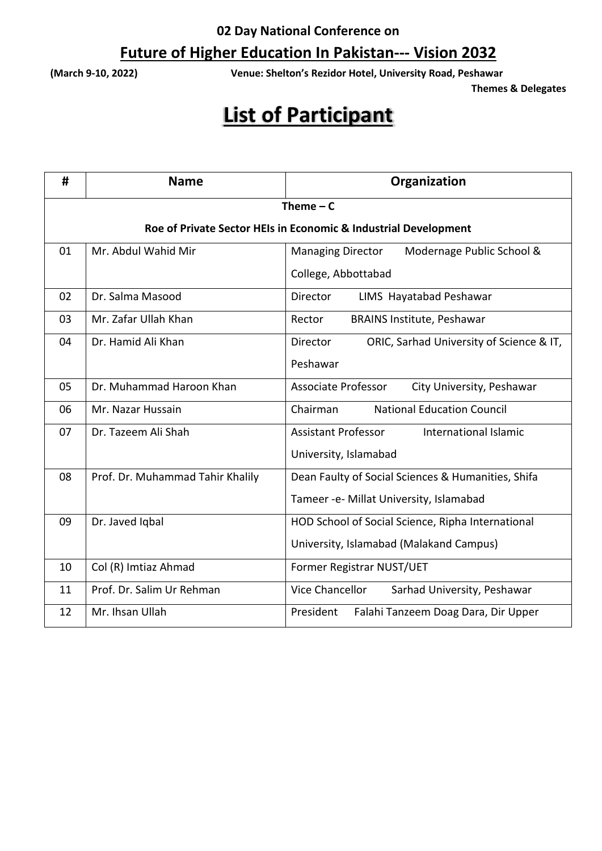## **Future of Higher Education In Pakistan--- Vision 2032**

**(March 9-10, 2022) Venue: Shelton's Rezidor Hotel, University Road, Peshawar**

**Themes & Delegates** 

| #                                                               | <b>Name</b>                      | Organization                                                |  |  |
|-----------------------------------------------------------------|----------------------------------|-------------------------------------------------------------|--|--|
| Theme $-c$                                                      |                                  |                                                             |  |  |
| Roe of Private Sector HEIs in Economic & Industrial Development |                                  |                                                             |  |  |
| 01                                                              | Mr. Abdul Wahid Mir              | <b>Managing Director</b><br>Modernage Public School &       |  |  |
|                                                                 |                                  | College, Abbottabad                                         |  |  |
| 02                                                              | Dr. Salma Masood                 | LIMS Hayatabad Peshawar<br>Director                         |  |  |
| 03                                                              | Mr. Zafar Ullah Khan             | <b>BRAINS Institute, Peshawar</b><br>Rector                 |  |  |
| 04                                                              | Dr. Hamid Ali Khan               | ORIC, Sarhad University of Science & IT,<br><b>Director</b> |  |  |
|                                                                 |                                  | Peshawar                                                    |  |  |
| 05                                                              | Dr. Muhammad Haroon Khan         | <b>Associate Professor</b><br>City University, Peshawar     |  |  |
| 06                                                              | Mr. Nazar Hussain                | Chairman<br><b>National Education Council</b>               |  |  |
| 07                                                              | Dr. Tazeem Ali Shah              | <b>Assistant Professor</b><br>International Islamic         |  |  |
|                                                                 |                                  | University, Islamabad                                       |  |  |
| 08                                                              | Prof. Dr. Muhammad Tahir Khalily | Dean Faulty of Social Sciences & Humanities, Shifa          |  |  |
|                                                                 |                                  | Tameer -e- Millat University, Islamabad                     |  |  |
| 09                                                              | Dr. Javed Iqbal                  | HOD School of Social Science, Ripha International           |  |  |
|                                                                 |                                  | University, Islamabad (Malakand Campus)                     |  |  |
| 10                                                              | Col (R) Imtiaz Ahmad             | Former Registrar NUST/UET                                   |  |  |
| 11                                                              | Prof. Dr. Salim Ur Rehman        | Vice Chancellor<br>Sarhad University, Peshawar              |  |  |
| 12                                                              | Mr. Ihsan Ullah                  | Falahi Tanzeem Doag Dara, Dir Upper<br>President            |  |  |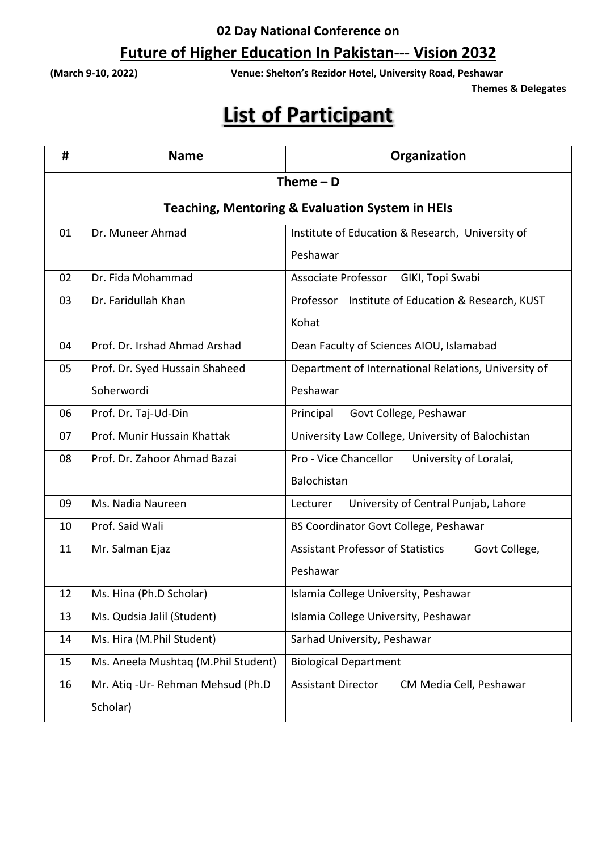## **Future of Higher Education In Pakistan--- Vision 2032**

**(March 9-10, 2022) Venue: Shelton's Rezidor Hotel, University Road, Peshawar**

**Themes & Delegates** 

| #                                                          | <b>Name</b>                         | Organization                                              |  |  |
|------------------------------------------------------------|-------------------------------------|-----------------------------------------------------------|--|--|
| Theme $-$ D                                                |                                     |                                                           |  |  |
| <b>Teaching, Mentoring &amp; Evaluation System in HEIs</b> |                                     |                                                           |  |  |
| 01                                                         | Dr. Muneer Ahmad                    | Institute of Education & Research, University of          |  |  |
|                                                            |                                     | Peshawar                                                  |  |  |
| 02                                                         | Dr. Fida Mohammad                   | Associate Professor<br>GIKI, Topi Swabi                   |  |  |
| 03                                                         | Dr. Faridullah Khan                 | Professor Institute of Education & Research, KUST         |  |  |
|                                                            |                                     | Kohat                                                     |  |  |
| 04                                                         | Prof. Dr. Irshad Ahmad Arshad       | Dean Faculty of Sciences AIOU, Islamabad                  |  |  |
| 05                                                         | Prof. Dr. Syed Hussain Shaheed      | Department of International Relations, University of      |  |  |
|                                                            | Soherwordi                          | Peshawar                                                  |  |  |
| 06                                                         | Prof. Dr. Taj-Ud-Din                | Govt College, Peshawar<br>Principal                       |  |  |
| 07                                                         | Prof. Munir Hussain Khattak         | University Law College, University of Balochistan         |  |  |
| 08                                                         | Prof. Dr. Zahoor Ahmad Bazai        | Pro - Vice Chancellor<br>University of Loralai,           |  |  |
|                                                            |                                     | Balochistan                                               |  |  |
| 09                                                         | Ms. Nadia Naureen                   | University of Central Punjab, Lahore<br>Lecturer          |  |  |
| 10                                                         | Prof. Said Wali                     | BS Coordinator Govt College, Peshawar                     |  |  |
| 11                                                         | Mr. Salman Ejaz                     | <b>Assistant Professor of Statistics</b><br>Govt College, |  |  |
|                                                            |                                     | Peshawar                                                  |  |  |
| 12                                                         | Ms. Hina (Ph.D Scholar)             | Islamia College University, Peshawar                      |  |  |
| 13                                                         | Ms. Qudsia Jalil (Student)          | Islamia College University, Peshawar                      |  |  |
| 14                                                         | Ms. Hira (M.Phil Student)           | Sarhad University, Peshawar                               |  |  |
| 15                                                         | Ms. Aneela Mushtaq (M.Phil Student) | <b>Biological Department</b>                              |  |  |
| 16                                                         | Mr. Atiq - Ur- Rehman Mehsud (Ph.D  | <b>Assistant Director</b><br>CM Media Cell, Peshawar      |  |  |
|                                                            | Scholar)                            |                                                           |  |  |